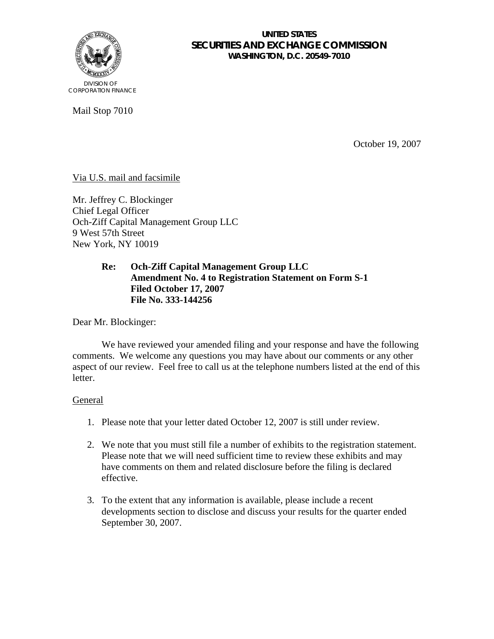

### **UNITED STATES SECURITIES AND EXCHANGE COMMISSION WASHINGTON, D.C. 20549-7010**

Mail Stop 7010

October 19, 2007

# Via U.S. mail and facsimile

Mr. Jeffrey C. Blockinger Chief Legal Officer Och-Ziff Capital Management Group LLC 9 West 57th Street New York, NY 10019

## **Re: Och-Ziff Capital Management Group LLC Amendment No. 4 to Registration Statement on Form S-1 Filed October 17, 2007 File No. 333-144256**

Dear Mr. Blockinger:

We have reviewed your amended filing and your response and have the following comments. We welcome any questions you may have about our comments or any other aspect of our review. Feel free to call us at the telephone numbers listed at the end of this letter.

### General

- 1. Please note that your letter dated October 12, 2007 is still under review.
- 2. We note that you must still file a number of exhibits to the registration statement. Please note that we will need sufficient time to review these exhibits and may have comments on them and related disclosure before the filing is declared effective.
- 3. To the extent that any information is available, please include a recent developments section to disclose and discuss your results for the quarter ended September 30, 2007.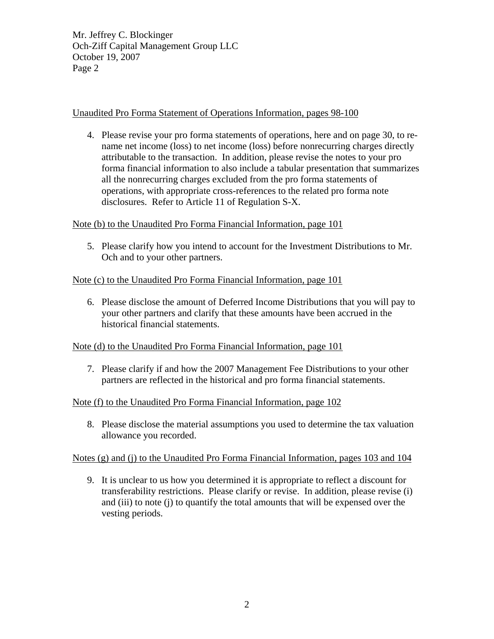Mr. Jeffrey C. Blockinger Och-Ziff Capital Management Group LLC October 19, 2007 Page 2

## Unaudited Pro Forma Statement of Operations Information, pages 98-100

4. Please revise your pro forma statements of operations, here and on page 30, to rename net income (loss) to net income (loss) before nonrecurring charges directly attributable to the transaction. In addition, please revise the notes to your pro forma financial information to also include a tabular presentation that summarizes all the nonrecurring charges excluded from the pro forma statements of operations, with appropriate cross-references to the related pro forma note disclosures. Refer to Article 11 of Regulation S-X.

Note (b) to the Unaudited Pro Forma Financial Information, page 101

5. Please clarify how you intend to account for the Investment Distributions to Mr. Och and to your other partners.

# Note (c) to the Unaudited Pro Forma Financial Information, page 101

6. Please disclose the amount of Deferred Income Distributions that you will pay to your other partners and clarify that these amounts have been accrued in the historical financial statements.

### Note (d) to the Unaudited Pro Forma Financial Information, page 101

7. Please clarify if and how the 2007 Management Fee Distributions to your other partners are reflected in the historical and pro forma financial statements.

### Note (f) to the Unaudited Pro Forma Financial Information, page 102

8. Please disclose the material assumptions you used to determine the tax valuation allowance you recorded.

### Notes (g) and (j) to the Unaudited Pro Forma Financial Information, pages 103 and 104

9. It is unclear to us how you determined it is appropriate to reflect a discount for transferability restrictions. Please clarify or revise. In addition, please revise (i) and (iii) to note (j) to quantify the total amounts that will be expensed over the vesting periods.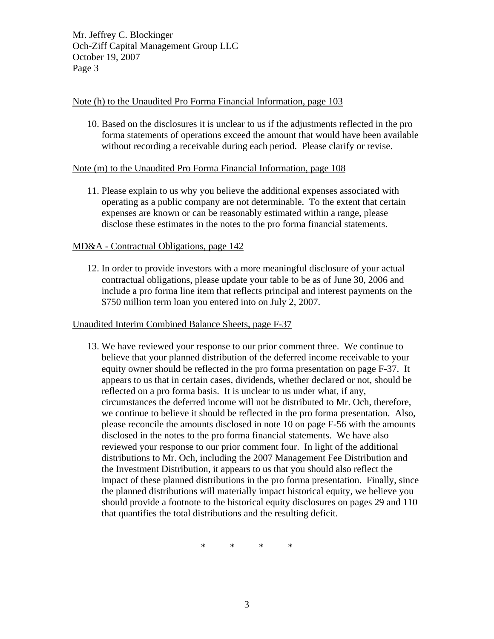Mr. Jeffrey C. Blockinger Och-Ziff Capital Management Group LLC October 19, 2007 Page 3

#### Note (h) to the Unaudited Pro Forma Financial Information, page 103

10. Based on the disclosures it is unclear to us if the adjustments reflected in the pro forma statements of operations exceed the amount that would have been available without recording a receivable during each period. Please clarify or revise.

### Note (m) to the Unaudited Pro Forma Financial Information, page 108

11. Please explain to us why you believe the additional expenses associated with operating as a public company are not determinable. To the extent that certain expenses are known or can be reasonably estimated within a range, please disclose these estimates in the notes to the pro forma financial statements.

### MD&A - Contractual Obligations, page 142

12. In order to provide investors with a more meaningful disclosure of your actual contractual obligations, please update your table to be as of June 30, 2006 and include a pro forma line item that reflects principal and interest payments on the \$750 million term loan you entered into on July 2, 2007.

#### Unaudited Interim Combined Balance Sheets, page F-37

13. We have reviewed your response to our prior comment three. We continue to believe that your planned distribution of the deferred income receivable to your equity owner should be reflected in the pro forma presentation on page F-37. It appears to us that in certain cases, dividends, whether declared or not, should be reflected on a pro forma basis. It is unclear to us under what, if any, circumstances the deferred income will not be distributed to Mr. Och, therefore, we continue to believe it should be reflected in the pro forma presentation. Also, please reconcile the amounts disclosed in note 10 on page F-56 with the amounts disclosed in the notes to the pro forma financial statements. We have also reviewed your response to our prior comment four. In light of the additional distributions to Mr. Och, including the 2007 Management Fee Distribution and the Investment Distribution, it appears to us that you should also reflect the impact of these planned distributions in the pro forma presentation. Finally, since the planned distributions will materially impact historical equity, we believe you should provide a footnote to the historical equity disclosures on pages 29 and 110 that quantifies the total distributions and the resulting deficit.

\* \* \* \*